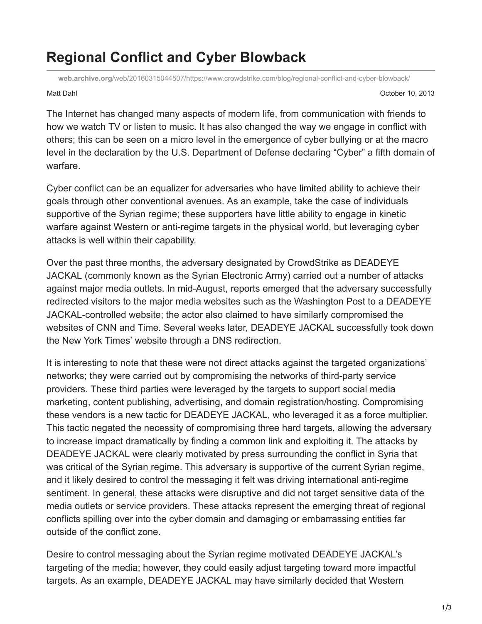## **Regional Conflict and Cyber Blowback**

**web.archive.org**[/web/20160315044507/https://www.crowdstrike.com/blog/regional-conflict-and-cyber-blowback/](https://web.archive.org/web/20160315044507/https://www.crowdstrike.com/blog/regional-conflict-and-cyber-blowback/)

Matt Dahl October 10, 2013

The Internet has changed many aspects of modern life, from communication with friends to how we watch TV or listen to music. It has also changed the way we engage in conflict with others; this can be seen on a micro level in the emergence of cyber bullying or at the macro level in the declaration by the U.S. Department of Defense declaring "Cyber" a fifth domain of warfare.

Cyber conflict can be an equalizer for adversaries who have limited ability to achieve their goals through other conventional avenues. As an example, take the case of individuals supportive of the Syrian regime; these supporters have little ability to engage in kinetic warfare against Western or anti-regime targets in the physical world, but leveraging cyber attacks is well within their capability.

Over the past three months, the adversary designated by CrowdStrike as DEADEYE JACKAL (commonly known as the Syrian Electronic Army) carried out a number of attacks against major media outlets. In mid-August, reports emerged that the adversary successfully redirected visitors to the major media websites such as the Washington Post to a DEADEYE JACKAL-controlled website; the actor also claimed to have similarly compromised the websites of CNN and Time. Several weeks later, DEADEYE JACKAL successfully took down the New York Times' website through a DNS redirection.

It is interesting to note that these were not direct attacks against the targeted organizations' networks; they were carried out by compromising the networks of third-party service providers. These third parties were leveraged by the targets to support social media marketing, content publishing, advertising, and domain registration/hosting. Compromising these vendors is a new tactic for DEADEYE JACKAL, who leveraged it as a force multiplier. This tactic negated the necessity of compromising three hard targets, allowing the adversary to increase impact dramatically by finding a common link and exploiting it. The attacks by DEADEYE JACKAL were clearly motivated by press surrounding the conflict in Syria that was critical of the Syrian regime. This adversary is supportive of the current Syrian regime, and it likely desired to control the messaging it felt was driving international anti-regime sentiment. In general, these attacks were disruptive and did not target sensitive data of the media outlets or service providers. These attacks represent the emerging threat of regional conflicts spilling over into the cyber domain and damaging or embarrassing entities far outside of the conflict zone.

Desire to control messaging about the Syrian regime motivated DEADEYE JACKAL's targeting of the media; however, they could easily adjust targeting toward more impactful targets. As an example, DEADEYE JACKAL may have similarly decided that Western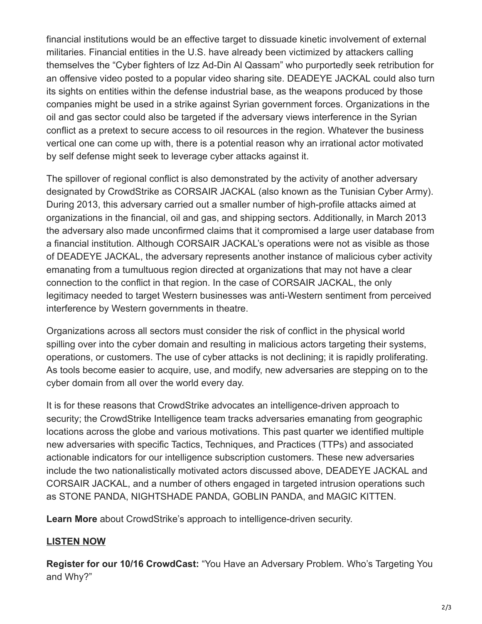financial institutions would be an effective target to dissuade kinetic involvement of external militaries. Financial entities in the U.S. have already been victimized by attackers calling themselves the "Cyber fighters of Izz Ad-Din Al Qassam" who purportedly seek retribution for an offensive video posted to a popular video sharing site. DEADEYE JACKAL could also turn its sights on entities within the defense industrial base, as the weapons produced by those companies might be used in a strike against Syrian government forces. Organizations in the oil and gas sector could also be targeted if the adversary views interference in the Syrian conflict as a pretext to secure access to oil resources in the region. Whatever the business vertical one can come up with, there is a potential reason why an irrational actor motivated by self defense might seek to leverage cyber attacks against it.

The spillover of regional conflict is also demonstrated by the activity of another adversary designated by CrowdStrike as CORSAIR JACKAL (also known as the Tunisian Cyber Army). During 2013, this adversary carried out a smaller number of high-profile attacks aimed at organizations in the financial, oil and gas, and shipping sectors. Additionally, in March 2013 the adversary also made unconfirmed claims that it compromised a large user database from a financial institution. Although CORSAIR JACKAL's operations were not as visible as those of DEADEYE JACKAL, the adversary represents another instance of malicious cyber activity emanating from a tumultuous region directed at organizations that may not have a clear connection to the conflict in that region. In the case of CORSAIR JACKAL, the only legitimacy needed to target Western businesses was anti-Western sentiment from perceived interference by Western governments in theatre.

Organizations across all sectors must consider the risk of conflict in the physical world spilling over into the cyber domain and resulting in malicious actors targeting their systems, operations, or customers. The use of cyber attacks is not declining; it is rapidly proliferating. As tools become easier to acquire, use, and modify, new adversaries are stepping on to the cyber domain from all over the world every day.

It is for these reasons that CrowdStrike advocates an intelligence-driven approach to security; the CrowdStrike Intelligence team tracks adversaries emanating from geographic locations across the globe and various motivations. This past quarter we identified multiple new adversaries with specific Tactics, Techniques, and Practices (TTPs) and associated actionable indicators for our intelligence subscription customers. These new adversaries include the two nationalistically motivated actors discussed above, DEADEYE JACKAL and CORSAIR JACKAL, and a number of others engaged in targeted intrusion operations such as STONE PANDA, NIGHTSHADE PANDA, GOBLIN PANDA, and MAGIC KITTEN.

**Learn More** about CrowdStrike's approach to intelligence-driven security.

## **[LISTEN NOW](https://web.archive.org/web/20160315044507/http://www.crowdstrike.com/crowdcasts/index.html)**

**Register for our 10/16 CrowdCast:** "You Have an Adversary Problem. Who's Targeting You and Why?"